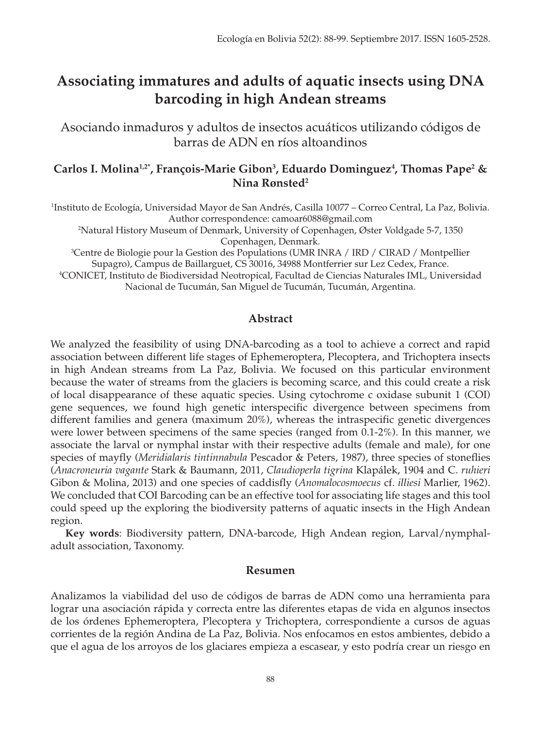# **Associating immatures and adults of aquatic insects using DNA barcoding in high Andean streams**

Asociando inmaduros y adultos de insectos acuáticos utilizando códigos de barras de ADN en ríos altoandinos

# **Carlos I. Molina1,2\*, François-Marie Gibon3 , Eduardo Dominguez4 , Thomas Pape2 & Nina Rønsted2**

1 Instituto de Ecología, Universidad Mayor de San Andrés, Casilla 10077 – Correo Central, La Paz, Bolivia. Author correspondence: camoar6088@gmail.com

2 Natural History Museum of Denmark, University of Copenhagen, Øster Voldgade 5-7, 1350 Copenhagen, Denmark.

3 Centre de Biologie pour la Gestion des Populations (UMR INRA / IRD / CIRAD / Montpellier Supagro), Campus de Baillarguet, CS 30016, 34988 Montferrier sur Lez Cedex, France. 4 CONICET, Instituto de Biodiversidad Neotropical, Facultad de Ciencias Naturales IML, Universidad Nacional de Tucumán, San Miguel de Tucumán, Tucumán, Argentina.

## **Abstract**

We analyzed the feasibility of using DNA-barcoding as a tool to achieve a correct and rapid association between different life stages of Ephemeroptera, Plecoptera, and Trichoptera insects in high Andean streams from La Paz, Bolivia. We focused on this particular environment because the water of streams from the glaciers is becoming scarce, and this could create a risk of local disappearance of these aquatic species. Using cytochrome c oxidase subunit 1 (COI) gene sequences, we found high genetic interspecific divergence between specimens from different families and genera (maximum 20%), whereas the intraspecific genetic divergences were lower between specimens of the same species (ranged from 0.1-2%). In this manner, we associate the larval or nymphal instar with their respective adults (female and male), for one species of mayfly (*Meridialaris tintinnabula* Pescador & Peters, 1987), three species of stoneflies (*Anacroneuria vagante* Stark & Baumann, 2011, *Claudioperla tigrina* Klapálek, 1904 and C. *ruhieri*  Gibon & Molina, 2013) and one species of caddisfly (*Anomalocosmoecus* cf. *illiesi* Marlier, 1962). We concluded that COI Barcoding can be an effective tool for associating life stages and this tool could speed up the exploring the biodiversity patterns of aquatic insects in the High Andean region.

**Key words**: Biodiversity pattern, DNA-barcode, High Andean region, Larval/nymphaladult association, Taxonomy.

## **Resumen**

Analizamos la viabilidad del uso de códigos de barras de ADN como una herramienta para lograr una asociación rápida y correcta entre las diferentes etapas de vida en algunos insectos de los órdenes Ephemeroptera, Plecoptera y Trichoptera, correspondiente a cursos de aguas corrientes de la región Andina de La Paz, Bolivia. Nos enfocamos en estos ambientes, debido a que el agua de los arroyos de los glaciares empieza a escasear, y esto podría crear un riesgo en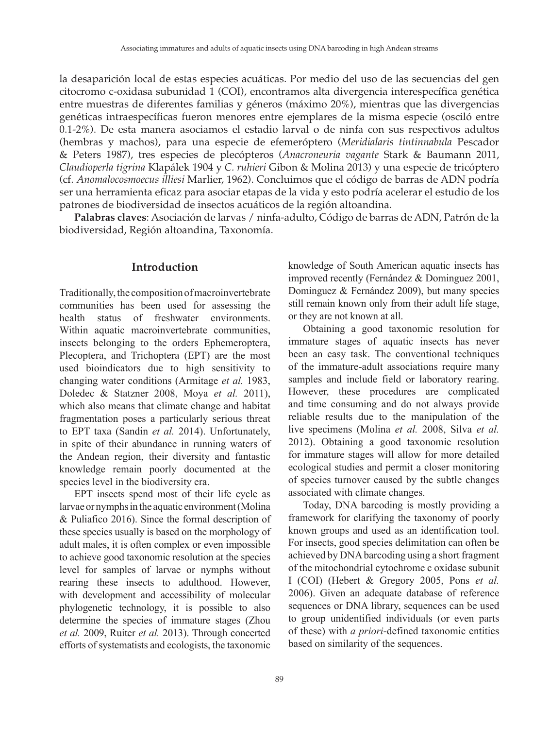la desaparición local de estas especies acuáticas. Por medio del uso de las secuencias del gen citocromo c-oxidasa subunidad 1 (COI), encontramos alta divergencia interespecífica genética entre muestras de diferentes familias y géneros (máximo 20%), mientras que las divergencias genéticas intraespecíficas fueron menores entre ejemplares de la misma especie (osciló entre 0.1-2%). De esta manera asociamos el estadio larval o de ninfa con sus respectivos adultos (hembras y machos), para una especie de efemeróptero (*Meridialaris tintinnabula* Pescador & Peters 1987), tres especies de plecópteros (*Anacroneuria vagante* Stark & Baumann 2011, *Claudioperla tigrina* Klapálek 1904 y *C. ruhieri* Gibon & Molina 2013) y una especie de tricóptero (cf. *Anomalocosmoecus illiesi* Marlier, 1962). Concluimos que el código de barras de ADN podría ser una herramienta eficaz para asociar etapas de la vida y esto podría acelerar el estudio de los patrones de biodiversidad de insectos acuáticos de la región altoandina.

**Palabras claves**: Asociación de larvas / ninfa-adulto, Código de barras de ADN, Patrón de la biodiversidad, Región altoandina, Taxonomía.

#### **Introduction**

Traditionally, the composition of macroinvertebrate communities has been used for assessing the health status of freshwater environments. Within aquatic macroinvertebrate communities, insects belonging to the orders Ephemeroptera, Plecoptera, and Trichoptera (EPT) are the most used bioindicators due to high sensitivity to changing water conditions (Armitage *et al.* 1983, Doledec & Statzner 2008, Moya *et al.* 2011), which also means that climate change and habitat fragmentation poses a particularly serious threat to EPT taxa (Sandin *et al.* 2014). Unfortunately, in spite of their abundance in running waters of the Andean region, their diversity and fantastic knowledge remain poorly documented at the species level in the biodiversity era.

EPT insects spend most of their life cycle as larvae or nymphs in the aquatic environment (Molina & Puliafico 2016). Since the formal description of these species usually is based on the morphology of adult males, it is often complex or even impossible to achieve good taxonomic resolution at the species level for samples of larvae or nymphs without rearing these insects to adulthood. However, with development and accessibility of molecular phylogenetic technology, it is possible to also determine the species of immature stages (Zhou *et al.* 2009, Ruiter *et al.* 2013). Through concerted efforts of systematists and ecologists, the taxonomic

knowledge of South American aquatic insects has improved recently (Fernández & Dominguez 2001, Dominguez & Fernández 2009), but many species still remain known only from their adult life stage, or they are not known at all.

Obtaining a good taxonomic resolution for immature stages of aquatic insects has never been an easy task. The conventional techniques of the immature-adult associations require many samples and include field or laboratory rearing. However, these procedures are complicated and time consuming and do not always provide reliable results due to the manipulation of the live specimens (Molina *et al.* 2008, Silva *et al.* 2012). Obtaining a good taxonomic resolution for immature stages will allow for more detailed ecological studies and permit a closer monitoring of species turnover caused by the subtle changes associated with climate changes.

Today, DNA barcoding is mostly providing a framework for clarifying the taxonomy of poorly known groups and used as an identification tool. For insects, good species delimitation can often be achieved by DNA barcoding using a short fragment of the mitochondrial cytochrome c oxidase subunit I (COI) (Hebert & Gregory 2005, Pons *et al.* 2006). Given an adequate database of reference sequences or DNA library, sequences can be used to group unidentified individuals (or even parts of these) with *a priori*-defined taxonomic entities based on similarity of the sequences.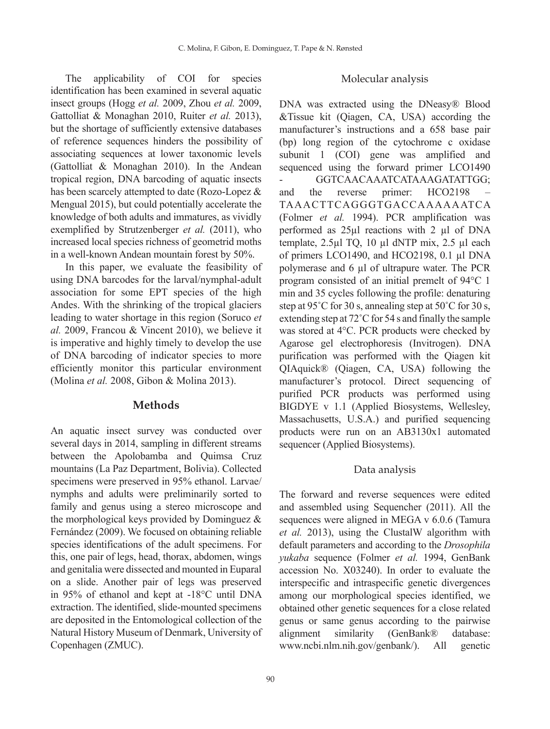The applicability of COI for species identification has been examined in several aquatic insect groups (Hogg *et al.* 2009, Zhou *et al.* 2009, Gattolliat & Monaghan 2010, Ruiter *et al.* 2013), but the shortage of sufficiently extensive databases of reference sequences hinders the possibility of associating sequences at lower taxonomic levels (Gattolliat & Monaghan 2010). In the Andean tropical region, DNA barcoding of aquatic insects has been scarcely attempted to date (Rozo-Lopez & Mengual 2015), but could potentially accelerate the knowledge of both adults and immatures, as vividly exemplified by Strutzenberger *et al.* (2011), who increased local species richness of geometrid moths in a well-known Andean mountain forest by 50%.

In this paper, we evaluate the feasibility of using DNA barcodes for the larval/nymphal-adult association for some EPT species of the high Andes. With the shrinking of the tropical glaciers leading to water shortage in this region (Soruco *et al.* 2009, Francou & Vincent 2010), we believe it is imperative and highly timely to develop the use of DNA barcoding of indicator species to more efficiently monitor this particular environment (Molina *et al.* 2008, Gibon & Molina 2013).

#### **Methods**

An aquatic insect survey was conducted over several days in 2014, sampling in different streams between the Apolobamba and Quimsa Cruz mountains (La Paz Department, Bolivia). Collected specimens were preserved in 95% ethanol. Larvae/ nymphs and adults were preliminarily sorted to family and genus using a stereo microscope and the morphological keys provided by Dominguez & Fernández (2009). We focused on obtaining reliable species identifications of the adult specimens. For this, one pair of legs, head, thorax, abdomen, wings and genitalia were dissected and mounted in Euparal on a slide. Another pair of legs was preserved in 95% of ethanol and kept at -18°C until DNA extraction. The identified, slide-mounted specimens are deposited in the Entomological collection of the Natural History Museum of Denmark, University of Copenhagen (ZMUC).

#### Molecular analysis

DNA was extracted using the DNeasy® Blood &Tissue kit (Qiagen, CA, USA) according the manufacturer's instructions and a 658 base pair (bp) long region of the cytochrome c oxidase subunit 1 (COI) gene was amplified and sequenced using the forward primer LCO1490 - GGTCAACAAATCATAAAGATATTGG; and the reverse primer: HCO2198 TAAACTTCAGGGTGACCAAAAAATCA (Folmer *et al.* 1994). PCR amplification was performed as 25µl reactions with 2 µl of DNA template, 2.5µl TQ, 10 µl dNTP mix, 2.5 µl each of primers LCO1490, and HCO2198, 0.1 µl DNA polymerase and 6 µl of ultrapure water. The PCR program consisted of an initial premelt of 94°C 1 min and 35 cycles following the profile: denaturing step at 95˚C for 30 s, annealing step at 50˚C for 30 s, extending step at 72˚C for 54 s and finally the sample was stored at 4°C. PCR products were checked by Agarose gel electrophoresis (Invitrogen). DNA purification was performed with the Qiagen kit QIAquick® (Qiagen, CA, USA) following the manufacturer's protocol. Direct sequencing of purified PCR products was performed using BIGDYE v 1.1 (Applied Biosystems, Wellesley, Massachusetts, U.S.A.) and purified sequencing products were run on an AB3130x1 automated sequencer (Applied Biosystems).

#### Data analysis

The forward and reverse sequences were edited and assembled using Sequencher (2011). All the sequences were aligned in MEGA v 6.0.6 (Tamura *et al.* 2013), using the ClustalW algorithm with default parameters and according to the *Drosophila yukaba* sequence (Folmer *et al.* 1994, GenBank accession No. X03240). In order to evaluate the interspecific and intraspecific genetic divergences among our morphological species identified, we obtained other genetic sequences for a close related genus or same genus according to the pairwise alignment similarity (GenBank® database: www.ncbi.nlm.nih.gov/genbank/). All genetic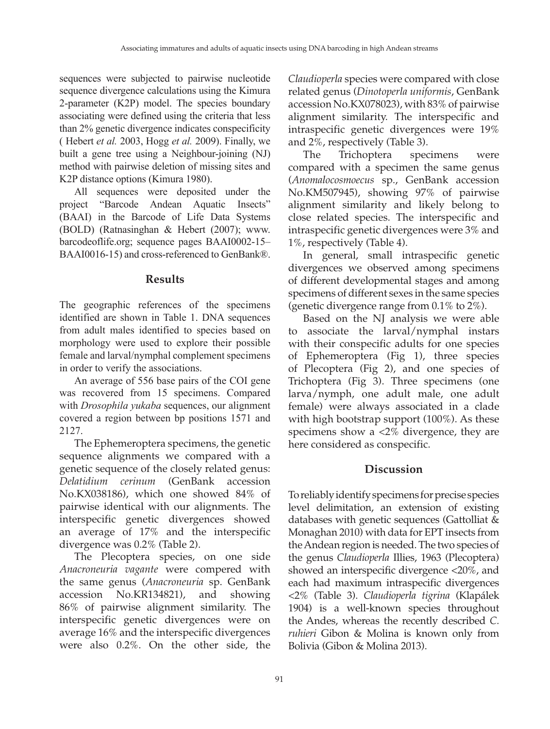sequences were subjected to pairwise nucleotide sequence divergence calculations using the Kimura 2-parameter (K2P) model. The species boundary associating were defined using the criteria that less than 2% genetic divergence indicates conspecificity ( Hebert *et al.* 2003, Hogg *et al.* 2009). Finally, we built a gene tree using a Neighbour-joining (NJ) method with pairwise deletion of missing sites and K2P distance options (Kimura 1980).

All sequences were deposited under the project "Barcode Andean Aquatic Insects" (BAAI) in the Barcode of Life Data Systems (BOLD) (Ratnasinghan & Hebert (2007); www. barcodeoflife.org; sequence pages BAAI0002-15– BAAI0016-15) and cross-referenced to GenBank®.

## **Results**

The geographic references of the specimens identified are shown in Table 1. DNA sequences from adult males identified to species based on morphology were used to explore their possible female and larval/nymphal complement specimens in order to verify the associations.

An average of 556 base pairs of the COI gene was recovered from 15 specimens. Compared with *Drosophila yukaba* sequences, our alignment covered a region between bp positions 1571 and 2127.

The Ephemeroptera specimens, the genetic sequence alignments we compared with a genetic sequence of the closely related genus: *Delatidium cerinum* (GenBank accession No.KX038186), which one showed 84% of pairwise identical with our alignments. The interspecific genetic divergences showed an average of 17% and the interspecific divergence was 0.2% (Table 2).

The Plecoptera species, on one side *Anacroneuria vagante* were compered with the same genus (*Anacroneuria* sp. GenBank accession No.KR134821), and showing 86% of pairwise alignment similarity. The interspecific genetic divergences were on average 16% and the interspecific divergences were also 0.2%. On the other side, the

*Claudioperla* species were compared with close related genus (*Dinotoperla uniformis*, GenBank accession No.KX078023), with 83% of pairwise alignment similarity. The interspecific and intraspecific genetic divergences were 19% and 2%, respectively (Table 3).

The Trichoptera specimens were compared with a specimen the same genus (*Anomalocosmoecus* sp., GenBank accession No.KM507945), showing 97% of pairwise alignment similarity and likely belong to close related species. The interspecific and intraspecific genetic divergences were 3% and 1%, respectively (Table 4).

In general, small intraspecific genetic divergences we observed among specimens of different developmental stages and among specimens of different sexes in the same species (genetic divergence range from 0.1% to 2%).

Based on the NJ analysis we were able to associate the larval/nymphal instars with their conspecific adults for one species of Ephemeroptera (Fig 1), three species of Plecoptera (Fig 2), and one species of Trichoptera (Fig 3). Three specimens (one larva/nymph, one adult male, one adult female) were always associated in a clade with high bootstrap support (100%). As these specimens show a <2% divergence, they are here considered as conspecific.

# **Discussion**

To reliably identify specimens for precise species level delimitation, an extension of existing databases with genetic sequences (Gattolliat & Monaghan 2010) with data for EPT insects from the Andean region is needed. The two species of the genus *Claudioperla* Illies, 1963 (Plecoptera) showed an interspecific divergence <20%, and each had maximum intraspecific divergences <2% (Table 3). *Claudioperla tigrina* (Klapálek 1904) is a well-known species throughout the Andes, whereas the recently described *C. ruhieri* Gibon & Molina is known only from Bolivia (Gibon & Molina 2013).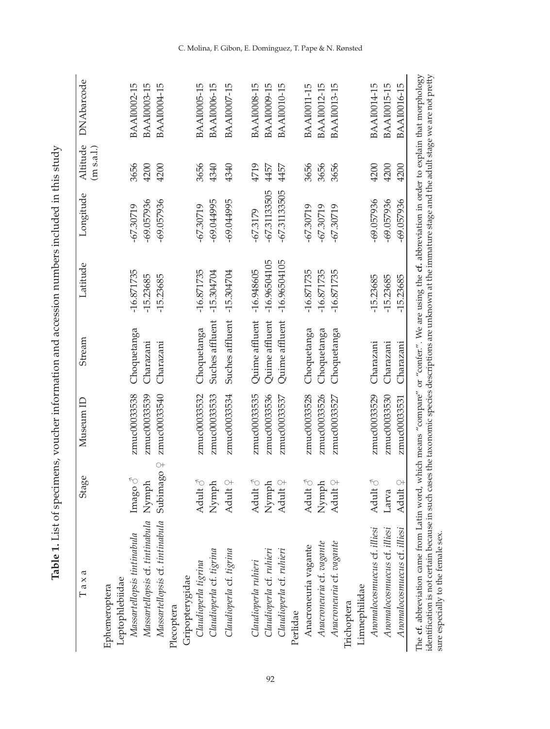| )<br>Filteration<br>Filteration |  |
|---------------------------------|--|
|                                 |  |
|                                 |  |
| ī                               |  |
|                                 |  |

| Taxa                                                           | Stage                                 | Museum ID                    | Stream                   | Latitude                    | Longitude                 | Altitude<br>(m s.a.l.) | <b>DNAbarcode</b>                        |
|----------------------------------------------------------------|---------------------------------------|------------------------------|--------------------------|-----------------------------|---------------------------|------------------------|------------------------------------------|
| Leptophlebiidae<br>Ephemeroptera                               |                                       |                              |                          |                             |                           |                        |                                          |
| Massartellopsis cf. tintinabula<br>Massartellopsis tintinabula | $\operatorname{Image} \circ$<br>Nymph | zmuc00033538<br>zmuc00033539 | Choquetanga<br>Charazani | $-16.871735$<br>$-15.23685$ | -69.057936<br>$-67.30719$ | 3656<br>4200           | <b>BAAI0002-15</b><br><b>BAAI0003-15</b> |
| Massartellopsis cf. tintinabula                                | $\bigcirc +$<br>Subimago              | zmuc00033540                 | Charazani                | -15.23685                   | $-69.057936$              | 4200                   | BAA10004-15                              |
| Plecoptera                                                     |                                       |                              |                          |                             |                           |                        |                                          |
| Gripopterygidae<br>Claudioperla tigrina                        |                                       |                              |                          |                             |                           |                        |                                          |
|                                                                | Adult $\delta$                        | zmuc00033532                 | Choquetanga              | $-16.871735$                | $-67.30719$               | 3656                   | <b>BAAI0005-15</b>                       |
| Claudioperla cf. tigrina                                       | Nymph                                 | zmuc00033533                 | Suches affluent          | $-15.304704$                | -69.044995                | 4340                   | <b>BAAI0006-15</b>                       |
| Claudioperla cf. tigrina                                       | Adult $\varphi$                       | zmuc00033534                 | Suches affluent          | $-15.304704$                | -69.044995                | 4340                   | <b>BAAI0007-15</b>                       |
|                                                                |                                       |                              |                          |                             |                           |                        |                                          |
| Claudioperla ruhieri                                           | Adult $\delta$                        | zmuc00033535                 | Quime affluent           | $-16.948605$                | $-67.3179$                | 4719                   | <b>BAAI0008-15</b>                       |
| Claudioperla cf. ruhieri                                       | Nymph                                 | zmuc00033536                 | Quime affluent           | $-16.96504105$              | $-67.31133505$            | 4457                   | BAAI0009-15                              |
| Claudioperla cf. ruhieri                                       | Adult $\varphi$                       | zmuc00033537                 | Quime affluent           | $-16.96504105$              | $-67.31133505$            | 4457                   | <b>BAAI0010-15</b>                       |
| Perlidae                                                       |                                       |                              |                          |                             |                           |                        |                                          |
| Anacroneuria vagante                                           | Adult $\delta$                        | zmuc00033528                 | Choquetanga              | $-16.871735$                | $-67.30719$               | 3656                   | <b>BAAI0011-15</b>                       |
| Anacroneuria cf. vagante                                       | Nymph                                 | zmuc00033526                 | Choquetanga              | $-16.871735$                | $-67.30719$               | 3656                   | <b>BAAI0012-15</b>                       |
| Anacroneuria cf. vagante                                       | Adult $\varphi$                       | zmuc00033527                 | Choquetanga              | $-16.871735$                | $-67.30719$               | 3656                   | BAA10013-15                              |
| Trichoptera                                                    |                                       |                              |                          |                             |                           |                        |                                          |
| Limnephilidae                                                  |                                       |                              |                          |                             |                           |                        |                                          |
| Anomalocosmuecus cf. illiesi                                   | Adult $\delta$                        | zmuc00033529                 | Charazani                | $-15.23685$                 | $-69.057936$              | 4200                   | <b>BAAI0014-15</b>                       |
| Anomalocosmuecus cf. illiesi                                   | Larva                                 | zmuc00033530                 | Charazani                | $-15.23685$                 | $-69.057936$              | 4200                   | BAA10015-15                              |
| Anomalocosmuecus cf. illiesi                                   | Adult $9$                             | zmuc00033531                 | Charazani                | $-15.23685$                 | $-69.057936$              | 4200                   | <b>BAAI0016-15</b>                       |

C. Molina, F. Gibon, E. Dominguez, T. Pape & N. Rønsted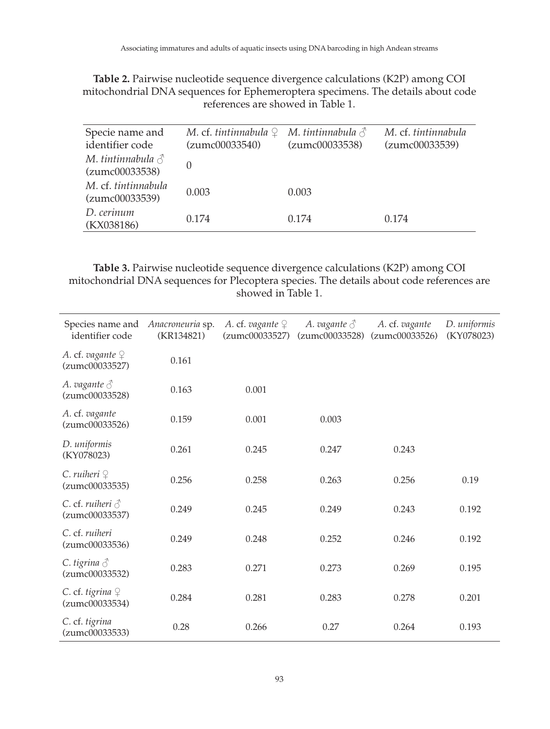| Specie name and<br>identifier code         | M. cf. tintinnabula $\mathcal{Q}$ M. tintinnabula $\mathcal{S}$<br>(zumc00033540) | (zumc00033538) | M. cf. tintinnabula<br>(zumc00033539) |
|--------------------------------------------|-----------------------------------------------------------------------------------|----------------|---------------------------------------|
| M. tintinnabula $\delta$<br>(zumc00033538) | 0                                                                                 |                |                                       |
| M. cf. tintinnabula<br>(zumc00033539)      | 0.003                                                                             | 0.003          |                                       |
| D. cerinum<br>(KX038186)                   | 0.174                                                                             | 0.174          | 0.174                                 |

**Table 2.** Pairwise nucleotide sequence divergence calculations (K2P) among COI mitochondrial DNA sequences for Ephemeroptera specimens. The details about code references are showed in Table 1.

**Table 3.** Pairwise nucleotide sequence divergence calculations (K2P) among COI mitochondrial DNA sequences for Plecoptera species. The details about code references are showed in Table 1.

| Species name and<br>identifier code          | Anacroneuria sp.<br>(KR134821) | A. cf. vagante $\varphi$<br>(zumc00033527) | A. vagante $\triangle$<br>(zumc00033528) | A. cf. vagante<br>(zumc00033526) | D. uniformis<br>(KY078023) |
|----------------------------------------------|--------------------------------|--------------------------------------------|------------------------------------------|----------------------------------|----------------------------|
| A. cf. vagante $\varphi$<br>(zumc00033527)   | 0.161                          |                                            |                                          |                                  |                            |
| A. vagante $\triangle$<br>(zumc00033528)     | 0.163                          | 0.001                                      |                                          |                                  |                            |
| A. cf. vagante<br>(zumc00033526)             | 0.159                          | 0.001                                      | 0.003                                    |                                  |                            |
| D. uniformis<br>(KY078023)                   | 0.261                          | 0.245                                      | 0.247                                    | 0.243                            |                            |
| $C.$ ruiheri $\varphi$<br>(zumc00033535)     | 0.256                          | 0.258                                      | 0.263                                    | 0.256                            | 0.19                       |
| C. cf. ruiheri $\triangle$<br>(zumc00033537) | 0.249                          | 0.245                                      | 0.249                                    | 0.243                            | 0.192                      |
| C. cf. ruiheri<br>(zumc00033536)             | 0.249                          | 0.248                                      | 0.252                                    | 0.246                            | 0.192                      |
| C. tigrina $\delta$<br>(zumc00033532)        | 0.283                          | 0.271                                      | 0.273                                    | 0.269                            | 0.195                      |
| C. cf. tigrina $\varphi$<br>(zumc00033534)   | 0.284                          | 0.281                                      | 0.283                                    | 0.278                            | 0.201                      |
| C. cf. tigrina<br>(zumc00033533)             | 0.28                           | 0.266                                      | 0.27                                     | 0.264                            | 0.193                      |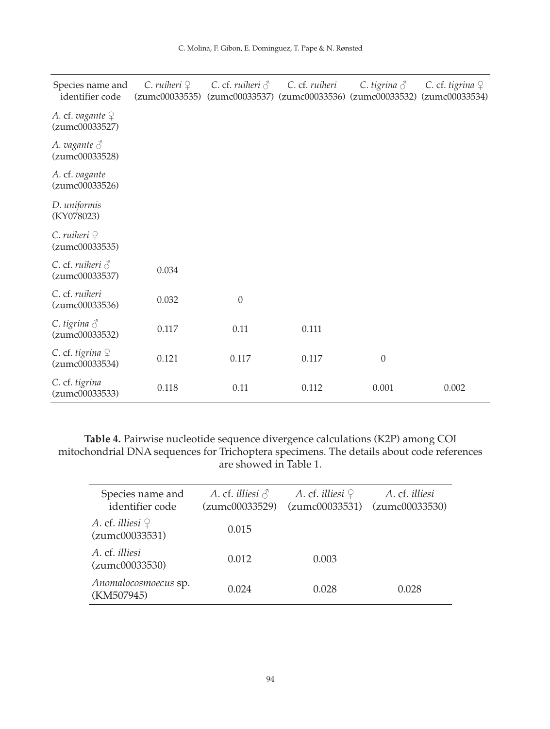| Species name and<br>identifier code        | $C.$ ruiheri $\mathcal{Q}$<br>(zumc00033535) | C. cf. ruiheri $\delta$ | C. cf. ruiheri<br>(zumc00033537) (zumc00033536) (zumc00033532) (zumc00033534) | C. tigrina $\delta$ | C. cf. tigrina $\varphi$ |
|--------------------------------------------|----------------------------------------------|-------------------------|-------------------------------------------------------------------------------|---------------------|--------------------------|
| A. cf. vagante $\varphi$<br>(zumc00033527) |                                              |                         |                                                                               |                     |                          |
| A. vagante $\triangle$<br>(zumc00033528)   |                                              |                         |                                                                               |                     |                          |
| A. cf. vagante<br>(zumc00033526)           |                                              |                         |                                                                               |                     |                          |
| D. uniformis<br>(KY078023)                 |                                              |                         |                                                                               |                     |                          |
| $C.$ ruiheri $\varphi$<br>(zumc00033535)   |                                              |                         |                                                                               |                     |                          |
| C. cf. ruiheri $\delta$<br>(zumc00033537)  | 0.034                                        |                         |                                                                               |                     |                          |
| C. cf. ruiheri<br>(zumc00033536)           | 0.032                                        | $\boldsymbol{0}$        |                                                                               |                     |                          |
| C. tigrina $\delta$<br>(zumc00033532)      | 0.117                                        | 0.11                    | 0.111                                                                         |                     |                          |
| C. cf. tigrina $\varphi$<br>(zumc00033534) | 0.121                                        | 0.117                   | 0.117                                                                         | $\theta$            |                          |
| C. cf. tigrina<br>(zumc00033533)           | 0.118                                        | 0.11                    | 0.112                                                                         | 0.001               | 0.002                    |

**Table 4.** Pairwise nucleotide sequence divergence calculations (K2P) among COI mitochondrial DNA sequences for Trichoptera specimens. The details about code references are showed in Table 1.

| Species name and<br>identifier code               | A. cf. <i>illiesi</i> $\triangle$<br>(zumc00033529) | A. cf. <i>illiesi</i> $\varphi$<br>(zumc00033531) | A. cf. illiesi<br>(zumc00033530) |
|---------------------------------------------------|-----------------------------------------------------|---------------------------------------------------|----------------------------------|
| A. cf. <i>illiesi</i> $\varphi$<br>(zumc00033531) | 0.015                                               |                                                   |                                  |
| A. cf. illiesi<br>(zumc00033530)                  | 0.012                                               | 0.003                                             |                                  |
| Anomalocosmoecus sp.<br>(KM507945)                | 0.024                                               | 0.028                                             | 0.028                            |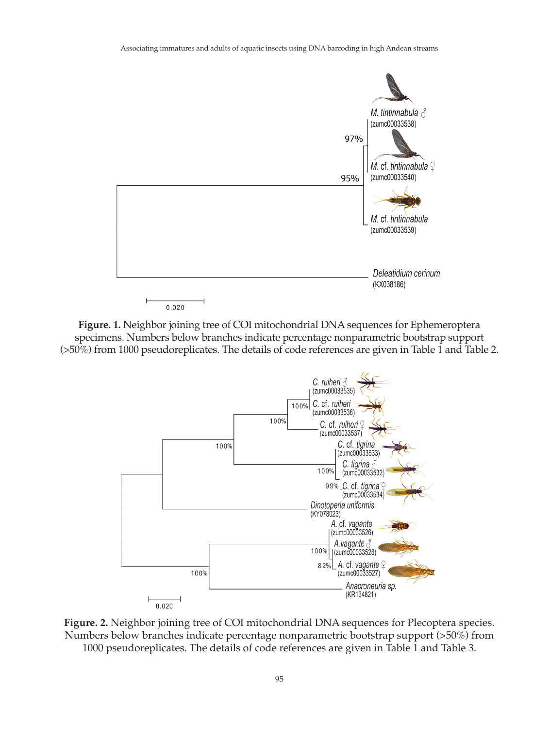

**Figure. 1.** Neighbor joining tree of COI mitochondrial DNA sequences for Ephemeroptera specimens. Numbers below branches indicate percentage nonparametric bootstrap support (>50%) from 1000 pseudoreplicates. The details of code references are given in Table 1 and Table 2.



**Figure. 2.** Neighbor joining tree of COI mitochondrial DNA sequences for Plecoptera species. Numbers below branches indicate percentage nonparametric bootstrap support (>50%) from 1000 pseudoreplicates. The details of code references are given in Table 1 and Table 3.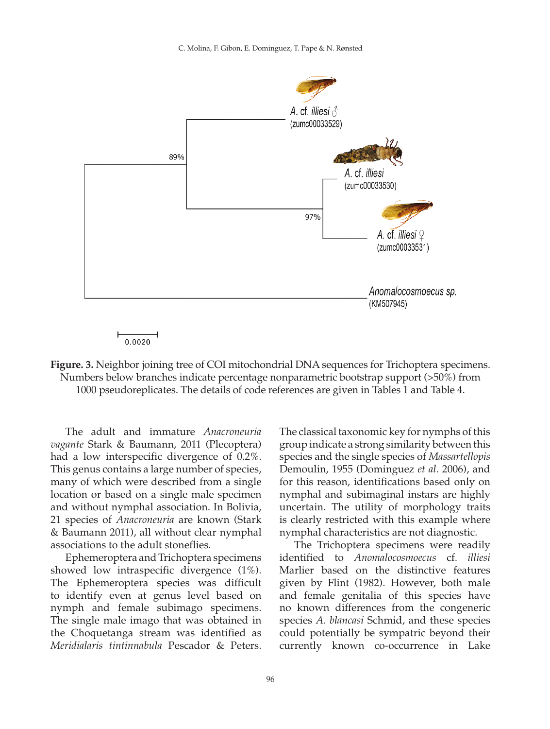

**Figure. 3.** Neighbor joining tree of COI mitochondrial DNA sequences for Trichoptera specimens. Numbers below branches indicate percentage nonparametric bootstrap support (>50%) from 1000 pseudoreplicates. The details of code references are given in Tables 1 and Table 4.

The adult and immature *Anacroneuria vagante* Stark & Baumann, 2011 (Plecoptera) had a low interspecific divergence of 0.2%. This genus contains a large number of species, many of which were described from a single location or based on a single male specimen and without nymphal association. In Bolivia, 21 species of *Anacroneuria* are known (Stark & Baumann 2011), all without clear nymphal associations to the adult stoneflies.

Ephemeroptera and Trichoptera specimens showed low intraspecific divergence (1%). The Ephemeroptera species was difficult to identify even at genus level based on nymph and female subimago specimens. The single male imago that was obtained in the Choquetanga stream was identified as *Meridialaris tintinnabula* Pescador & Peters. The classical taxonomic key for nymphs of this group indicate a strong similarity between this species and the single species of *Massartellopis*  Demoulin, 1955 (Dominguez *et al.* 2006), and for this reason, identifications based only on nymphal and subimaginal instars are highly uncertain. The utility of morphology traits is clearly restricted with this example where nymphal characteristics are not diagnostic.

The Trichoptera specimens were readily identified to *Anomalocosmoecus* cf. *illiesi* Marlier based on the distinctive features given by Flint (1982). However, both male and female genitalia of this species have no known differences from the congeneric species *A. blancasi* Schmid, and these species could potentially be sympatric beyond their currently known co-occurrence in Lake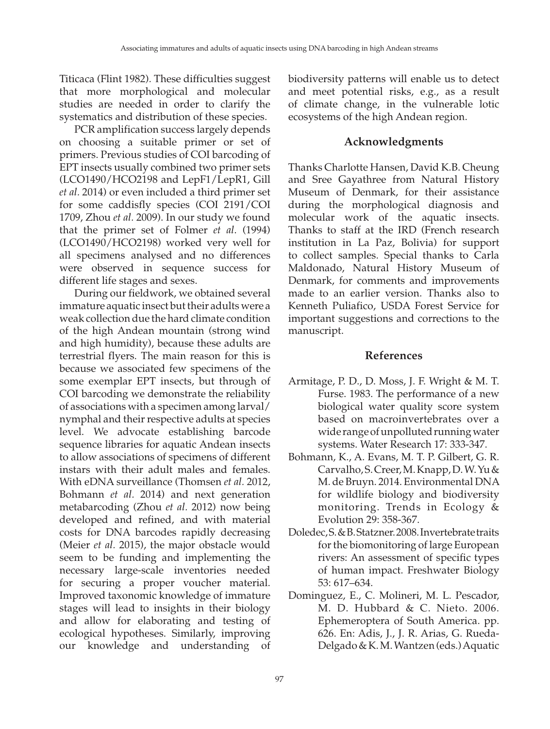Titicaca (Flint 1982)*.* These difficulties suggest that more morphological and molecular studies are needed in order to clarify the systematics and distribution of these species.

PCR amplification success largely depends on choosing a suitable primer or set of primers. Previous studies of COI barcoding of EPT insects usually combined two primer sets (LCO1490/HCO2198 and LepF1/LepR1, Gill *et al.* 2014) or even included a third primer set for some caddisfly species (COI 2191/COI 1709, Zhou *et al.* 2009). In our study we found that the primer set of Folmer *et al*. (1994) (LCO1490/HCO2198) worked very well for all specimens analysed and no differences were observed in sequence success for different life stages and sexes.

During our fieldwork, we obtained several immature aquatic insect but their adults were a weak collection due the hard climate condition of the high Andean mountain (strong wind and high humidity), because these adults are terrestrial flyers. The main reason for this is because we associated few specimens of the some exemplar EPT insects, but through of COI barcoding we demonstrate the reliability of associations with a specimen among larval/ nymphal and their respective adults at species level. We advocate establishing barcode sequence libraries for aquatic Andean insects to allow associations of specimens of different instars with their adult males and females. With eDNA surveillance (Thomsen *et al.* 2012, Bohmann *et al.* 2014) and next generation metabarcoding (Zhou *et al.* 2012) now being developed and refined, and with material costs for DNA barcodes rapidly decreasing (Meier *et al.* 2015), the major obstacle would seem to be funding and implementing the necessary large-scale inventories needed for securing a proper voucher material. Improved taxonomic knowledge of immature stages will lead to insights in their biology and allow for elaborating and testing of ecological hypotheses. Similarly, improving our knowledge and understanding of

biodiversity patterns will enable us to detect and meet potential risks, e.g., as a result of climate change, in the vulnerable lotic ecosystems of the high Andean region.

## **Acknowledgments**

Thanks Charlotte Hansen, David K.B. Cheung and Sree Gayathree from Natural History Museum of Denmark, for their assistance during the morphological diagnosis and molecular work of the aquatic insects. Thanks to staff at the IRD (French research institution in La Paz, Bolivia) for support to collect samples. Special thanks to Carla Maldonado, Natural History Museum of Denmark, for comments and improvements made to an earlier version. Thanks also to Kenneth Puliafico, USDA Forest Service for important suggestions and corrections to the manuscript.

### **References**

- Armitage, P. D., D. Moss, J. F. Wright & M. T. Furse. 1983. The performance of a new biological water quality score system based on macroinvertebrates over a wide range of unpolluted running water systems. Water Research 17: 333-347.
- Bohmann, K., A. Evans, M. T. P. Gilbert, G. R. Carvalho, S. Creer, M. Knapp, D. W. Yu & M. de Bruyn. 2014. Environmental DNA for wildlife biology and biodiversity monitoring. Trends in Ecology & Evolution 29: 358-367.
- Doledec, S. & B. Statzner. 2008. Invertebrate traits for the biomonitoring of large European rivers: An assessment of specific types of human impact. Freshwater Biology 53: 617–634.
- Dominguez, E., C. Molineri, M. L. Pescador, M. D. Hubbard & C. Nieto. 2006. Ephemeroptera of South America. pp. 626. En: Adis, J., J. R. Arias, G. Rueda-Delgado & K. M. Wantzen (eds.) Aquatic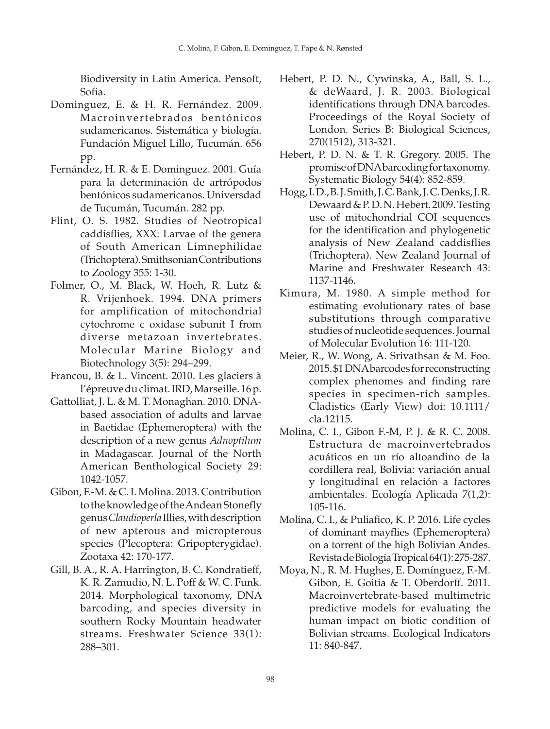Biodiversity in Latin America. Pensoft, Sofia.

- Dominguez, E. & H. R. Fernández. 2009. Macroinvertebrados bentónicos sudamericanos. Sistemática y biología. Fundación Miguel Lillo, Tucumán. 656 pp.
- Fernández, H. R. & E. Dominguez. 2001. Guía para la determinación de artrópodos bentónicos sudamericanos. Universdad de Tucumán, Tucumán. 282 pp.
- Flint, O. S. 1982. Studies of Neotropical caddisflies, XXX: Larvae of the genera of South American Limnephilidae (Trichoptera). Smithsonian Contributions to Zoology 355: 1-30.
- Folmer, O., M. Black, W. Hoeh, R. Lutz & R. Vrijenhoek. 1994. DNA primers for amplification of mitochondrial cytochrome c oxidase subunit I from diverse metazoan invertebrates. Molecular Marine Biology and Biotechnology 3(5): 294–299.
- Francou, B. & L. Vincent. 2010. Les glaciers à l'épreuve du climat. IRD, Marseille. 16 p.
- Gattolliat, J. L. & M. T. Monaghan. 2010. DNAbased association of adults and larvae in Baetidae (Ephemeroptera) with the description of a new genus *Adnoptilum* in Madagascar. Journal of the North American Benthological Society 29: 1042-1057.
- Gibon, F.-M. & C. I. Molina. 2013. Contribution to the knowledge of the Andean Stonefly genus *Claudioperla* Illies, with description of new apterous and micropterous species (Plecoptera: Gripopterygidae). Zootaxa 42: 170-177.
- Gill, B. A., R. A. Harrington, B. C. Kondratieff, K. R. Zamudio, N. L. Poff & W. C. Funk. 2014. Morphological taxonomy, DNA barcoding, and species diversity in southern Rocky Mountain headwater streams. Freshwater Science 33(1): 288–301.
- Hebert, P. D. N., Cywinska, A., Ball, S. L., & deWaard, J. R. 2003. Biological identifications through DNA barcodes. Proceedings of the Royal Society of London. Series B: Biological Sciences, 270(1512), 313-321.
- Hebert, P. D. N. & T. R. Gregory. 2005. The promise of DNA barcoding for taxonomy. Systematic Biology 54(4): 852-859.
- Hogg, I. D., B. J. Smith, J. C. Bank, J. C. Denks, J. R. Dewaard & P. D. N. Hebert. 2009. Testing use of mitochondrial COI sequences for the identification and phylogenetic analysis of New Zealand caddisflies (Trichoptera). New Zealand Journal of Marine and Freshwater Research 43: 1137-1146.
- Kimura, M. 1980. A simple method for estimating evolutionary rates of base substitutions through comparative studies of nucleotide sequences. Journal of Molecular Evolution 16: 111-120.
- Meier, R., W. Wong, A. Srivathsan & M. Foo. 2015. \$1 DNA barcodes for reconstructing complex phenomes and finding rare species in specimen-rich samples. Cladistics (Early View) doi: 10.1111/ cla.12115.
- Molina, C. I., Gibon F.-M, P. J. & R. C. 2008. Estructura de macroinvertebrados acuáticos en un río altoandino de la cordillera real, Bolivia: variación anual y longitudinal en relación a factores ambientales. Ecología Aplicada 7(1,2): 105-116.
- Molina, C. I., & Puliafico, K. P. 2016. Life cycles of dominant mayflies (Ephemeroptera) on a torrent of the high Bolivian Andes. Revista de Biología Tropical 64(1): 275-287.
- Moya, N., R. M. Hughes, E. Domínguez, F.-M. Gibon, E. Goitia & T. Oberdorff. 2011. Macroinvertebrate-based multimetric predictive models for evaluating the human impact on biotic condition of Bolivian streams. Ecological Indicators 11: 840-847.